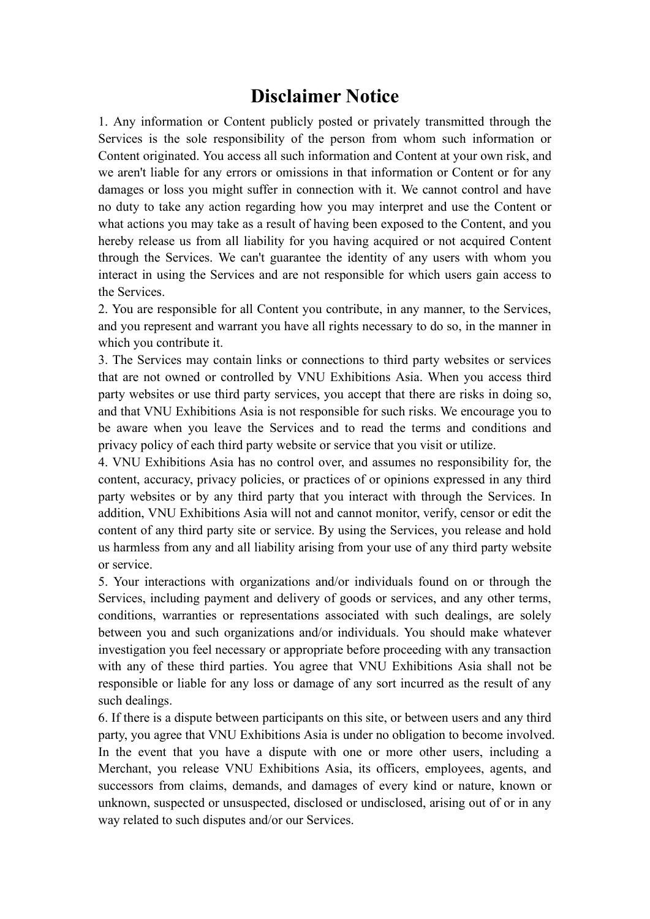## **Disclaimer Notice**

1. Any information or Content publicly posted or privately transmitted through the Services is the sole responsibility of the person from whom such information or Content originated. You access all such information and Content at your own risk, and we aren't liable for any errors or omissions in that information or Content or for any damages or loss you might suffer in connection with it. We cannot control and have no duty to take any action regarding how you may interpret and use the Content or what actions you may take as a result of having been exposed to the Content, and you hereby release us from all liability for you having acquired or not acquired Content through the Services. We can't guarantee the identity of any users with whom you interact in using the Services and are not responsible for which users gain access to the Services.

2. You are responsible for all Content you contribute, in any manner, to the Services, and you represent and warrant you have all rights necessary to do so, in the manner in which you contribute it.

3. The Services may contain links or connections to third party websites or services that are not owned or controlled by VNU Exhibitions Asia. When you access third party websites or use third party services, you accept that there are risks in doing so, and that VNU Exhibitions Asia is not responsible for such risks. We encourage you to be aware when you leave the Services and to read the terms and conditions and privacy policy of each third party website or service that you visit or utilize.

4. VNU Exhibitions Asia has no control over, and assumes no responsibility for, the content, accuracy, privacy policies, or practices of or opinions expressed in any third party websites or by any third party that you interact with through the Services. In addition, VNU Exhibitions Asia will not and cannot monitor, verify, censor or edit the content of any third party site or service. By using the Services, you release and hold us harmless from any and all liability arising from your use of any third party website or service.

5. Your interactions with organizations and/or individuals found on or through the Services, including payment and delivery of goods or services, and any other terms, conditions, warranties or representations associated with such dealings, are solely between you and such organizations and/or individuals. You should make whatever investigation you feel necessary or appropriate before proceeding with any transaction with any of these third parties. You agree that VNU Exhibitions Asia shall not be responsible or liable for any loss or damage of any sort incurred as the result of any such dealings.

6. If there is a dispute between participants on this site, or between users and any third party, you agree that VNU Exhibitions Asia is under no obligation to become involved. In the event that you have a dispute with one or more other users, including a Merchant, you release VNU Exhibitions Asia, its officers, employees, agents, and successors from claims, demands, and damages of every kind or nature, known or unknown, suspected or unsuspected, disclosed or undisclosed, arising out of or in any way related to such disputes and/or our Services.